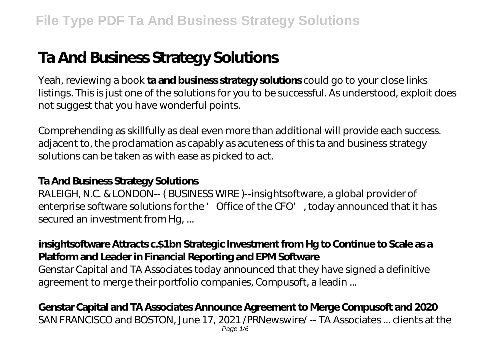# **Ta And Business Strategy Solutions**

Yeah, reviewing a book **ta and business strategy solutions** could go to your close links listings. This is just one of the solutions for you to be successful. As understood, exploit does not suggest that you have wonderful points.

Comprehending as skillfully as deal even more than additional will provide each success. adjacent to, the proclamation as capably as acuteness of this ta and business strategy solutions can be taken as with ease as picked to act.

#### **Ta And Business Strategy Solutions**

RALEIGH, N.C. & LONDON-- ( BUSINESS WIRE )--insightsoftware, a global provider of enterprise software solutions for the ' Office of the CFO', today announced that it has secured an investment from Hg, ...

#### **insightsoftware Attracts c.\$1bn Strategic Investment from Hg to Continue to Scale as a Platform and Leader in Financial Reporting and EPM Software**

Genstar Capital and TA Associates today announced that they have signed a definitive agreement to merge their portfolio companies, Compusoft, a leadin ...

#### **Genstar Capital and TA Associates Announce Agreement to Merge Compusoft and 2020** SAN FRANCISCO and BOSTON, June 17, 2021 /PRNewswire/ -- TA Associates ... clients at the Page 1/6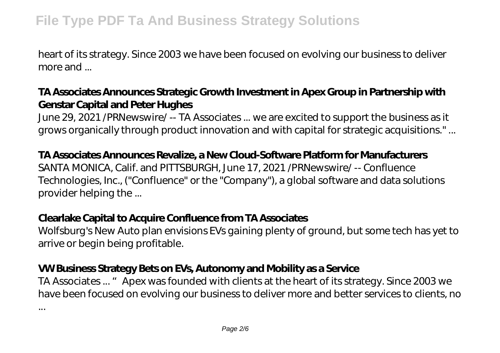heart of its strategy. Since 2003 we have been focused on evolving our business to deliver more and ...

## **TA Associates Announces Strategic Growth Investment in Apex Group in Partnership with Genstar Capital and Peter Hughes**

June 29, 2021 /PRNewswire/ -- TA Associates ... we are excited to support the business as it grows organically through product innovation and with capital for strategic acquisitions." ...

#### **TA Associates Announces Revalize, a New Cloud-Software Platform for Manufacturers**

SANTA MONICA, Calif. and PITTSBURGH, June 17, 2021 /PRNewswire/ -- Confluence Technologies, Inc., ("Confluence" or the "Company"), a global software and data solutions provider helping the ...

#### **Clearlake Capital to Acquire Confluence from TA Associates**

Wolfsburg's New Auto plan envisions EVs gaining plenty of ground, but some tech has yet to arrive or begin being profitable.

## **VW Business Strategy Bets on EVs, Autonomy and Mobility as a Service**

TA Associates ... " Apex was founded with clients at the heart of its strategy. Since 2003 we have been focused on evolving our business to deliver more and better services to clients, no

...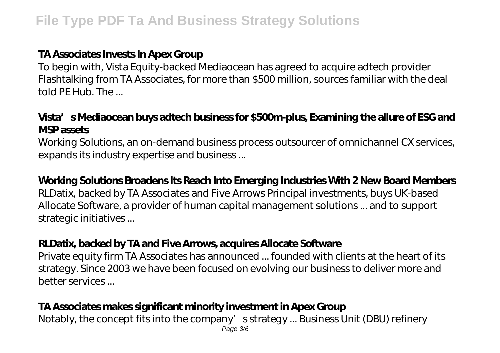### **TA Associates Invests In Apex Group**

To begin with, Vista Equity-backed Mediaocean has agreed to acquire adtech provider Flashtalking from TA Associates, for more than \$500 million, sources familiar with the deal told PE Hub. The ...

## **Vista's Mediaocean buys adtech business for \$500m-plus, Examining the allure of ESG and MSP assets**

Working Solutions, an on-demand business process outsourcer of omnichannel CX services, expands its industry expertise and business ...

#### **Working Solutions Broadens Its Reach Into Emerging Industries With 2 New Board Members**

RLDatix, backed by TA Associates and Five Arrows Principal investments, buys UK-based Allocate Software, a provider of human capital management solutions ... and to support strategic initiatives ...

#### **RLDatix, backed by TA and Five Arrows, acquires Allocate Software**

Private equity firm TA Associates has announced ... founded with clients at the heart of its strategy. Since 2003 we have been focused on evolving our business to deliver more and better services ...

### **TA Associates makes significant minority investment in Apex Group**

Notably, the concept fits into the company's strategy ... Business Unit (DBU) refinery Page 3/6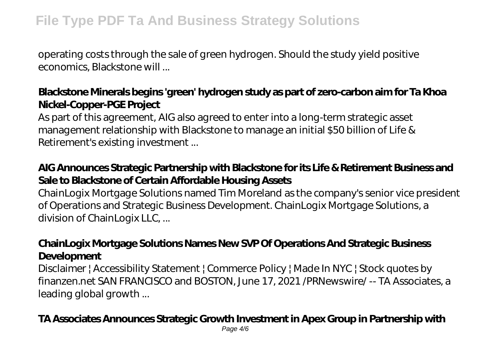## **File Type PDF Ta And Business Strategy Solutions**

operating costs through the sale of green hydrogen. Should the study yield positive economics, Blackstone will ...

## **Blackstone Minerals begins 'green' hydrogen study as part of zero-carbon aim for Ta Khoa Nickel-Copper-PGE Project**

As part of this agreement, AIG also agreed to enter into a long-term strategic asset management relationship with Blackstone to manage an initial \$50 billion of Life & Retirement's existing investment ...

## **AIG Announces Strategic Partnership with Blackstone for its Life & Retirement Business and Sale to Blackstone of Certain Affordable Housing Assets**

ChainLogix Mortgage Solutions named Tim Moreland as the company's senior vice president of Operations and Strategic Business Development. ChainLogix Mortgage Solutions, a division of ChainLogix LLC, ...

#### **ChainLogix Mortgage Solutions Names New SVP Of Operations And Strategic Business Development**

Disclaimer | Accessibility Statement | Commerce Policy | Made In NYC | Stock quotes by finanzen.net SAN FRANCISCO and BOSTON, June 17, 2021 /PRNewswire/ -- TA Associates, a leading global growth ...

### **TA Associates Announces Strategic Growth Investment in Apex Group in Partnership with**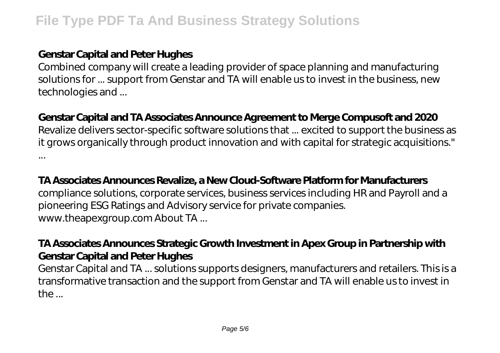### **Genstar Capital and Peter Hughes**

Combined company will create a leading provider of space planning and manufacturing solutions for ... support from Genstar and TA will enable us to invest in the business, new technologies and ...

## **Genstar Capital and TA Associates Announce Agreement to Merge Compusoft and 2020**

Revalize delivers sector-specific software solutions that ... excited to support the business as it grows organically through product innovation and with capital for strategic acquisitions." ...

#### **TA Associates Announces Revalize, a New Cloud-Software Platform for Manufacturers**

compliance solutions, corporate services, business services including HR and Payroll and a pioneering ESG Ratings and Advisory service for private companies. www.theapexgroup.com About TA ...

## **TA Associates Announces Strategic Growth Investment in Apex Group in Partnership with Genstar Capital and Peter Hughes**

Genstar Capital and TA ... solutions supports designers, manufacturers and retailers. This is a transformative transaction and the support from Genstar and TA will enable us to invest in  $th$  $\epsilon$